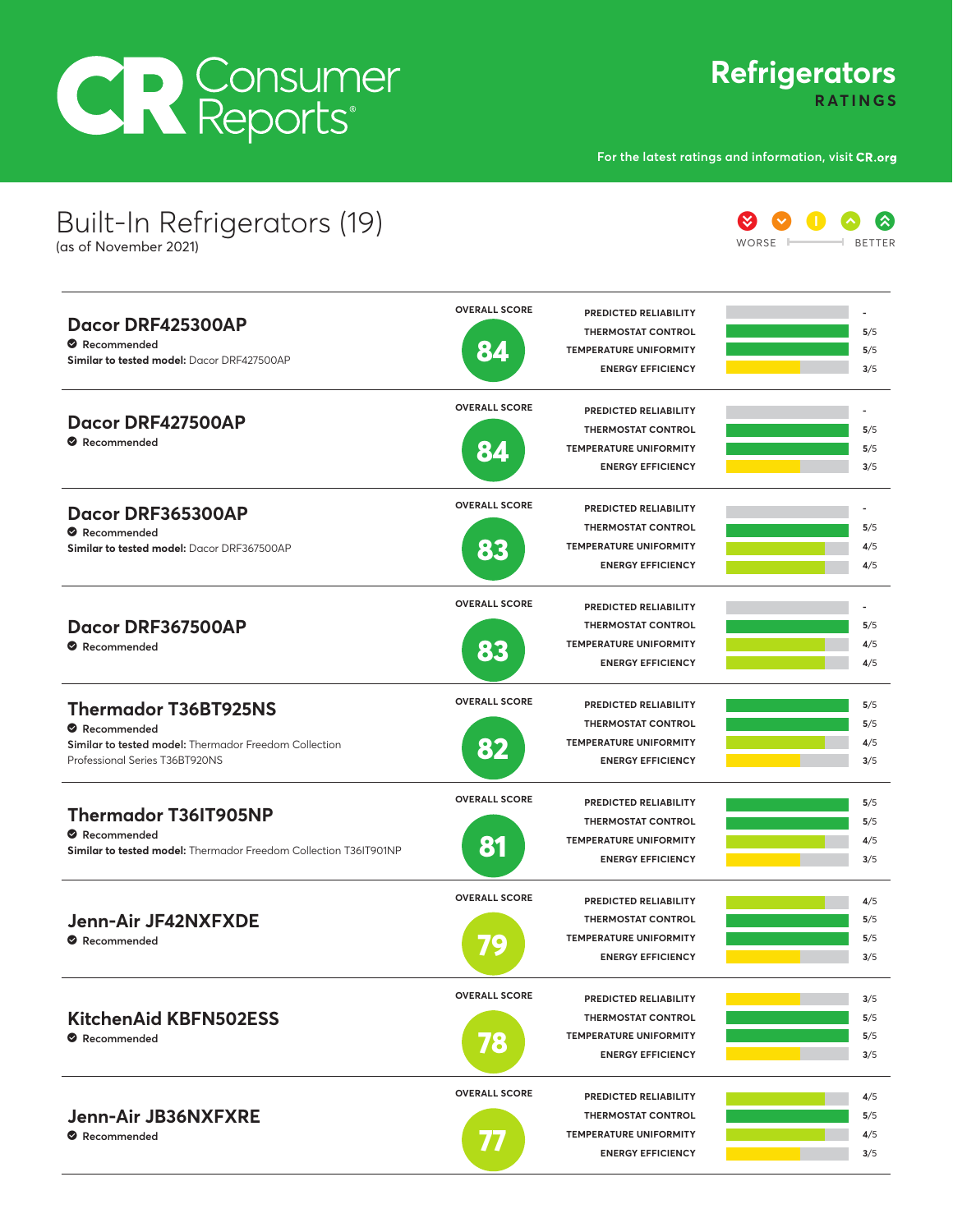## **CR** Consumer

## **Refrigerators RATINGS**

**For the latest ratings and information, visit**

| Built-In Refrigerators (19)<br>(as of November 2021)                            |                      |                               | WORSF |
|---------------------------------------------------------------------------------|----------------------|-------------------------------|-------|
|                                                                                 | <b>OVERALL SCORE</b> | PREDICTED RELIABILITY         |       |
| Dacor DRF425300AP                                                               |                      | <b>THERMOSTAT CONTROL</b>     | 5/5   |
| Recommended                                                                     | 84                   | <b>TEMPERATURE UNIFORMITY</b> | 5/5   |
| Similar to tested model: Dacor DRF427500AP                                      |                      | <b>ENERGY EFFICIENCY</b>      | 3/5   |
| Dacor DRF427500AP                                                               | <b>OVERALL SCORE</b> | PREDICTED RELIABILITY         | ٠     |
|                                                                                 |                      | <b>THERMOSTAT CONTROL</b>     | 5/5   |
| Recommended                                                                     | 84                   | <b>TEMPERATURE UNIFORMITY</b> | 5/5   |
|                                                                                 |                      | <b>ENERGY EFFICIENCY</b>      | 3/5   |
| Dacor DRF365300AP                                                               | <b>OVERALL SCORE</b> | PREDICTED RELIABILITY         |       |
| Recommended                                                                     |                      | <b>THERMOSTAT CONTROL</b>     | 5/5   |
| Similar to tested model: Dacor DRF367500AP                                      | 83                   | <b>TEMPERATURE UNIFORMITY</b> | 4/5   |
|                                                                                 |                      | <b>ENERGY EFFICIENCY</b>      | 4/5   |
| Dacor DRF367500AP                                                               | <b>OVERALL SCORE</b> | PREDICTED RELIABILITY         | ٠     |
|                                                                                 |                      | <b>THERMOSTAT CONTROL</b>     | 5/5   |
| Recommended                                                                     | 83                   | <b>TEMPERATURE UNIFORMITY</b> | 4/5   |
|                                                                                 |                      | <b>ENERGY EFFICIENCY</b>      | 4/5   |
| <b>Thermador T36BT925NS</b>                                                     | <b>OVERALL SCORE</b> | PREDICTED RELIABILITY         | 5/5   |
| Recommended                                                                     |                      | <b>THERMOSTAT CONTROL</b>     | 5/5   |
| Similar to tested model: Thermador Freedom Collection                           | 82                   | <b>TEMPERATURE UNIFORMITY</b> | 4/5   |
| Professional Series T36BT920NS                                                  |                      | <b>ENERGY EFFICIENCY</b>      | 3/5   |
|                                                                                 | <b>OVERALL SCORE</b> | PREDICTED RELIABILITY         | 5/5   |
| <b>Thermador T36IT905NP</b>                                                     |                      | <b>THERMOSTAT CONTROL</b>     | 5/5   |
| Recommended<br>Similar to tested model: Thermador Freedom Collection T36IT901NP | 81                   | <b>TEMPERATURE UNIFORMITY</b> | 4/5   |
|                                                                                 |                      | <b>ENERGY EFFICIENCY</b>      | 3/5   |
|                                                                                 | <b>OVERALL SCORE</b> | PREDICTED RELIABILITY         | 4/5   |
| Jenn-Air JF42NXFXDE                                                             |                      | <b>THERMOSTAT CONTROL</b>     | 5/5   |
| Recommended                                                                     | 79                   | <b>TEMPERATURE UNIFORMITY</b> | 5/5   |
|                                                                                 |                      | <b>ENERGY EFFICIENCY</b>      | 3/5   |
| <b>KitchenAid KBFN502ESS</b><br>Recommended                                     | <b>OVERALL SCORE</b> | PREDICTED RELIABILITY         | 3/5   |
|                                                                                 |                      | <b>THERMOSTAT CONTROL</b>     | 5/5   |
|                                                                                 | 78                   | <b>TEMPERATURE UNIFORMITY</b> | 5/5   |
|                                                                                 |                      | <b>ENERGY EFFICIENCY</b>      | 3/5   |
| Jenn-Air JB36NXFXRE<br>Recommended                                              | <b>OVERALL SCORE</b> | PREDICTED RELIABILITY         | 4/5   |
|                                                                                 |                      | <b>THERMOSTAT CONTROL</b>     | 5/5   |
|                                                                                 | 77                   | <b>TEMPERATURE UNIFORMITY</b> | 4/5   |
|                                                                                 |                      | <b>ENERGY EFFICIENCY</b>      | 3/5   |